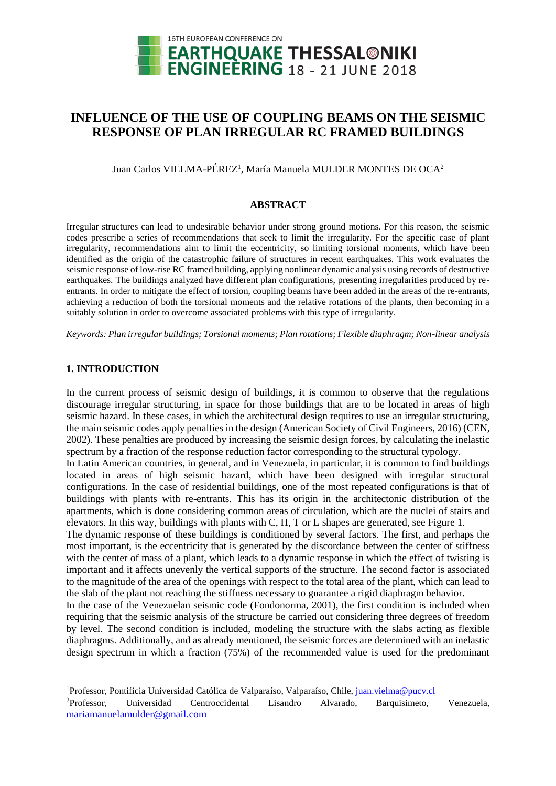

# **INFLUENCE OF THE USE OF COUPLING BEAMS ON THE SEISMIC RESPONSE OF PLAN IRREGULAR RC FRAMED BUILDINGS**

Juan Carlos VIELMA-PÉREZ<sup>1</sup>, María Manuela MULDER MONTES DE OCA<sup>2</sup>

#### **ABSTRACT**

Irregular structures can lead to undesirable behavior under strong ground motions. For this reason, the seismic codes prescribe a series of recommendations that seek to limit the irregularity. For the specific case of plant irregularity, recommendations aim to limit the eccentricity, so limiting torsional moments, which have been identified as the origin of the catastrophic failure of structures in recent earthquakes. This work evaluates the seismic response of low-rise RC framed building, applying nonlinear dynamic analysis using records of destructive earthquakes. The buildings analyzed have different plan configurations, presenting irregularities produced by reentrants. In order to mitigate the effect of torsion, coupling beams have been added in the areas of the re-entrants, achieving a reduction of both the torsional moments and the relative rotations of the plants, then becoming in a suitably solution in order to overcome associated problems with this type of irregularity.

*Keywords: Plan irregular buildings; Torsional moments; Plan rotations; Flexible diaphragm; Non-linear analysis*

#### **1. INTRODUCTION**

l

In the current process of seismic design of buildings, it is common to observe that the regulations discourage irregular structuring, in space for those buildings that are to be located in areas of high seismic hazard. In these cases, in which the architectural design requires to use an irregular structuring, the main seismic codes apply penalties in the design (American Society of Civil Engineers, 2016) (CEN, 2002). These penalties are produced by increasing the seismic design forces, by calculating the inelastic spectrum by a fraction of the response reduction factor corresponding to the structural typology.

In Latin American countries, in general, and in Venezuela, in particular, it is common to find buildings located in areas of high seismic hazard, which have been designed with irregular structural configurations. In the case of residential buildings, one of the most repeated configurations is that of buildings with plants with re-entrants. This has its origin in the architectonic distribution of the apartments, which is done considering common areas of circulation, which are the nuclei of stairs and elevators. In this way, buildings with plants with C, H, T or L shapes are generated, see Figure 1.

The dynamic response of these buildings is conditioned by several factors. The first, and perhaps the most important, is the eccentricity that is generated by the discordance between the center of stiffness with the center of mass of a plant, which leads to a dynamic response in which the effect of twisting is important and it affects unevenly the vertical supports of the structure. The second factor is associated to the magnitude of the area of the openings with respect to the total area of the plant, which can lead to the slab of the plant not reaching the stiffness necessary to guarantee a rigid diaphragm behavior. In the case of the Venezuelan seismic code (Fondonorma, 2001), the first condition is included when

requiring that the seismic analysis of the structure be carried out considering three degrees of freedom by level. The second condition is included, modeling the structure with the slabs acting as flexible diaphragms. Additionally, and as already mentioned, the seismic forces are determined with an inelastic design spectrum in which a fraction (75%) of the recommended value is used for the predominant

<sup>&</sup>lt;sup>1</sup>Professor, Pontificia Universidad Católica de Valparaíso, Valparaíso, Chile, [juan.vielma@pucv.cl](mailto:juan.vielma@pucv.cl) <sup>2</sup>Professor, Universidad Centroccidental Lisandro Alvarado, Barquisimeto, Venezuela, [mariamanuelamulder@gmail.com](mailto:mariamanuelamulder@gmail.com)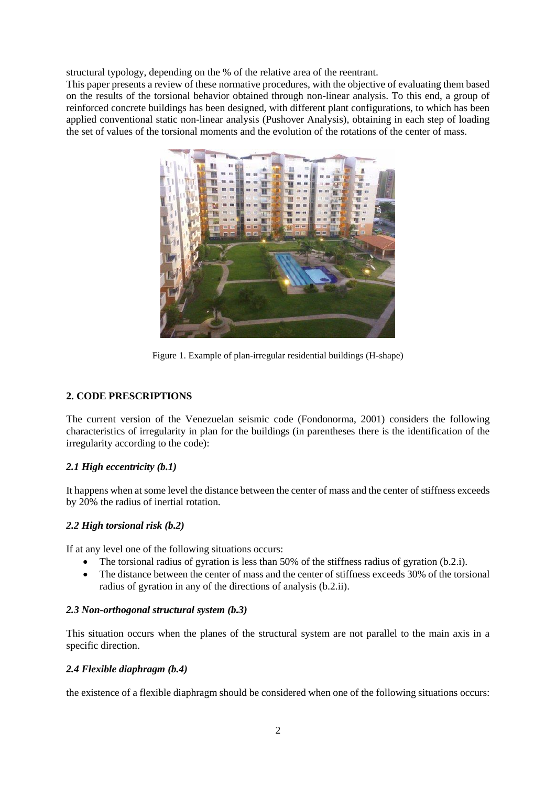structural typology, depending on the % of the relative area of the reentrant.

This paper presents a review of these normative procedures, with the objective of evaluating them based on the results of the torsional behavior obtained through non-linear analysis. To this end, a group of reinforced concrete buildings has been designed, with different plant configurations, to which has been applied conventional static non-linear analysis (Pushover Analysis), obtaining in each step of loading the set of values of the torsional moments and the evolution of the rotations of the center of mass.



Figure 1. Example of plan-irregular residential buildings (H-shape)

# **2. CODE PRESCRIPTIONS**

The current version of the Venezuelan seismic code (Fondonorma, 2001) considers the following characteristics of irregularity in plan for the buildings (in parentheses there is the identification of the irregularity according to the code):

# *2.1 High eccentricity (b.1)*

It happens when at some level the distance between the center of mass and the center of stiffness exceeds by 20% the radius of inertial rotation.

# *2.2 High torsional risk (b.2)*

If at any level one of the following situations occurs:

- The torsional radius of gyration is less than 50% of the stiffness radius of gyration (b.2.i).
- The distance between the center of mass and the center of stiffness exceeds 30% of the torsional radius of gyration in any of the directions of analysis (b.2.ii).

# *2.3 Non-orthogonal structural system (b.3)*

This situation occurs when the planes of the structural system are not parallel to the main axis in a specific direction.

# *2.4 Flexible diaphragm (b.4)*

the existence of a flexible diaphragm should be considered when one of the following situations occurs: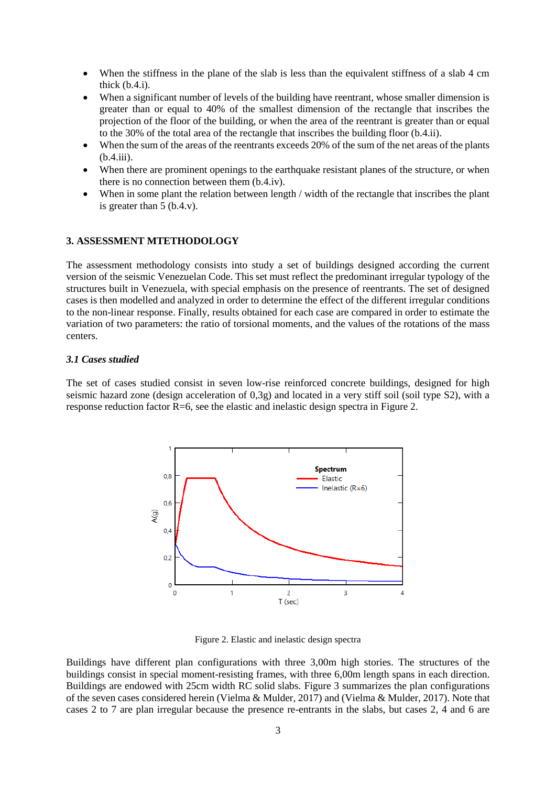- When the stiffness in the plane of the slab is less than the equivalent stiffness of a slab 4 cm thick  $(b.4.i)$ .
- When a significant number of levels of the building have reentrant, whose smaller dimension is greater than or equal to 40% of the smallest dimension of the rectangle that inscribes the projection of the floor of the building, or when the area of the reentrant is greater than or equal to the 30% of the total area of the rectangle that inscribes the building floor (b.4.ii).
- When the sum of the areas of the reentrants exceeds 20% of the sum of the net areas of the plants (b.4.iii).
- When there are prominent openings to the earthquake resistant planes of the structure, or when there is no connection between them (b.4.iv).
- When in some plant the relation between length / width of the rectangle that inscribes the plant is greater than 5 (b.4.v).

### **3. ASSESSMENT MTETHODOLOGY**

The assessment methodology consists into study a set of buildings designed according the current version of the seismic Venezuelan Code. This set must reflect the predominant irregular typology of the structures built in Venezuela, with special emphasis on the presence of reentrants. The set of designed cases is then modelled and analyzed in order to determine the effect of the different irregular conditions to the non-linear response. Finally, results obtained for each case are compared in order to estimate the variation of two parameters: the ratio of torsional moments, and the values of the rotations of the mass centers.

#### *3.1 Cases studied*

The set of cases studied consist in seven low-rise reinforced concrete buildings, designed for high seismic hazard zone (design acceleration of 0,3g) and located in a very stiff soil (soil type S2), with a response reduction factor R=6, see the elastic and inelastic design spectra in Figure 2.



Figure 2. Elastic and inelastic design spectra

Buildings have different plan configurations with three 3,00m high stories. The structures of the buildings consist in special moment-resisting frames, with three 6,00m length spans in each direction. Buildings are endowed with 25cm width RC solid slabs. Figure 3 summarizes the plan configurations of the seven cases considered herein (Vielma & Mulder, 2017) and (Vielma & Mulder, 2017). Note that cases 2 to 7 are plan irregular because the presence re-entrants in the slabs, but cases 2, 4 and 6 are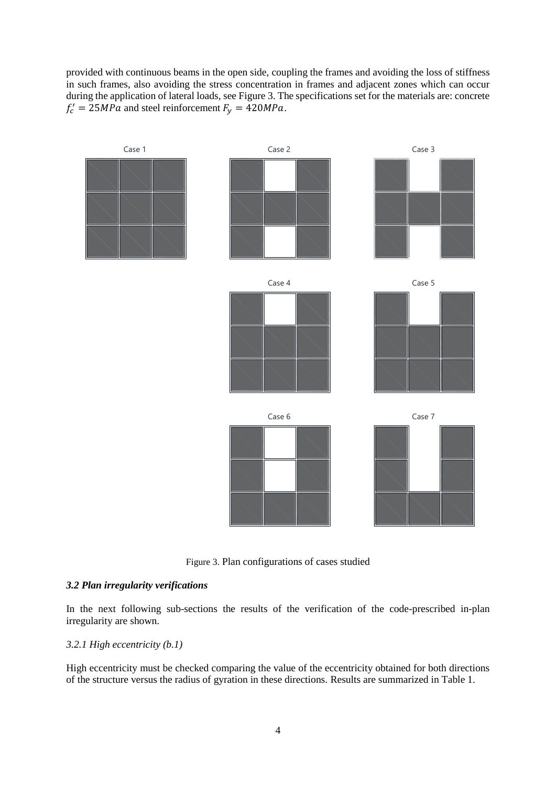provided with continuous beams in the open side, coupling the frames and avoiding the loss of stiffness in such frames, also avoiding the stress concentration in frames and adjacent zones which can occur during the application of lateral loads, see Figure 3. The specifications set for the materials are: concrete  $f'_c = 25 MPa$  and steel reinforcement  $F_y = 420 MPa$ .



Figure 3. Plan configurations of cases studied

# *3.2 Plan irregularity verifications*

In the next following sub-sections the results of the verification of the code-prescribed in-plan irregularity are shown.

#### *3.2.1 High eccentricity (b.1)*

High eccentricity must be checked comparing the value of the eccentricity obtained for both directions of the structure versus the radius of gyration in these directions. Results are summarized in Table 1.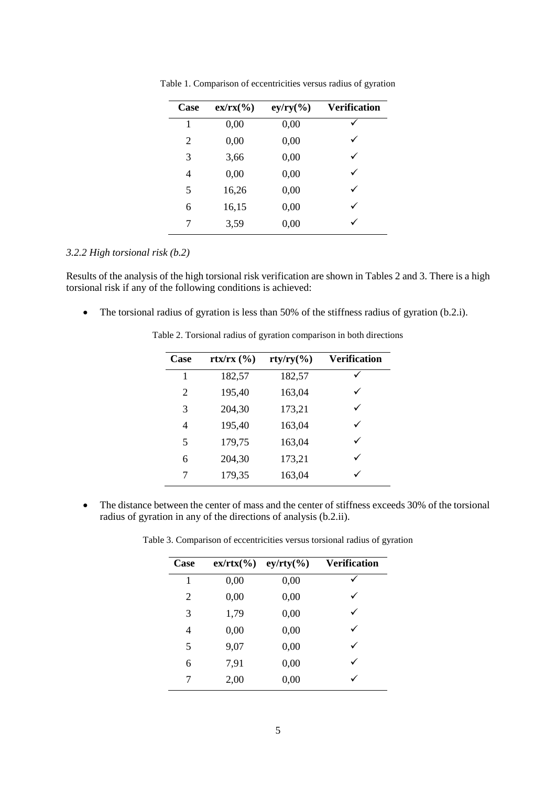| Case | $ex/rx(\%)$ | $ey/ry(\%)$ | <b>Verification</b> |
|------|-------------|-------------|---------------------|
| 1    | 0,00        | 0,00        |                     |
| 2    | 0,00        | 0,00        |                     |
| 3    | 3,66        | 0,00        | ✓                   |
| 4    | 0,00        | 0,00        |                     |
| 5    | 16,26       | 0,00        |                     |
| 6    | 16,15       | 0,00        |                     |
| 7    | 3,59        | 0,00        |                     |

Table 1. Comparison of eccentricities versus radius of gyration

### *3.2.2 High torsional risk (b.2)*

Results of the analysis of the high torsional risk verification are shown in Tables 2 and 3. There is a high torsional risk if any of the following conditions is achieved:

• The torsional radius of gyration is less than 50% of the stiffness radius of gyration (b.2.i).

| Case | $\frac{rtx}{rx}$ $\frac{0}{0}$ | $\frac{rty}{ry(\%)}$ | <b>Verification</b> |
|------|--------------------------------|----------------------|---------------------|
| 1    | 182,57                         | 182,57               |                     |
| 2    | 195,40                         | 163,04               | ✓                   |
| 3    | 204,30                         | 173,21               | ✓                   |
| 4    | 195,40                         | 163,04               | ✓                   |
| 5    | 179,75                         | 163,04               | ✓                   |
| 6    | 204,30                         | 173,21               | ✓                   |
| 7    | 179,35                         | 163,04               |                     |
|      |                                |                      |                     |

Table 2. Torsional radius of gyration comparison in both directions

• The distance between the center of mass and the center of stiffness exceeds 30% of the torsional radius of gyration in any of the directions of analysis (b.2.ii).

Table 3. Comparison of eccentricities versus torsional radius of gyration

| Case | $ex/rtx(\%)$ | $ey/rty(\%)$ | <b>Verification</b> |
|------|--------------|--------------|---------------------|
| 1    | 0,00         | 0,00         |                     |
| 2    | 0,00         | 0,00         |                     |
| 3    | 1,79         | 0,00         | ✓                   |
| 4    | 0,00         | 0,00         |                     |
| 5    | 9,07         | 0,00         |                     |
| 6    | 7,91         | 0,00         |                     |
| 7    | 2,00         | 0,00         |                     |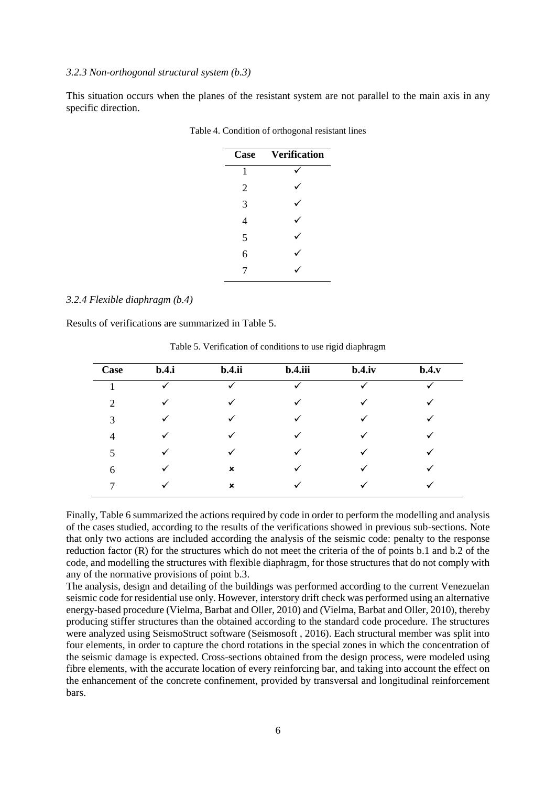#### *3.2.3 Non-orthogonal structural system (b.3)*

This situation occurs when the planes of the resistant system are not parallel to the main axis in any specific direction.

| Case           | <b>Verification</b> |
|----------------|---------------------|
| 1              |                     |
| $\overline{2}$ |                     |
| 3              |                     |
| 4              |                     |
| 5              |                     |
| 6              |                     |
| 7              |                     |

Table 4. Condition of orthogonal resistant lines

#### *3.2.4 Flexible diaphragm (b.4)*

Results of verifications are summarized in Table 5.

| <b>Case</b>    | b.4.i        | b.4.ii       | b.4.iii | $b.4$ .iv    | b.4.v |
|----------------|--------------|--------------|---------|--------------|-------|
|                | $\checkmark$ |              |         | $\checkmark$ |       |
| $\overline{2}$ | $\checkmark$ |              | ✓       | $\checkmark$ |       |
| 3              | ✓            | $\checkmark$ | ✓       | ✓            |       |
| $\overline{4}$ |              |              | ✓       |              |       |
| 5              | ✓            | $\checkmark$ | ✓       | ✓            |       |
| 6              |              | ×            |         |              |       |
|                |              | ×            |         |              |       |

Table 5. Verification of conditions to use rigid diaphragm

Finally, Table 6 summarized the actions required by code in order to perform the modelling and analysis of the cases studied, according to the results of the verifications showed in previous sub-sections. Note that only two actions are included according the analysis of the seismic code: penalty to the response reduction factor (R) for the structures which do not meet the criteria of the of points b.1 and b.2 of the code, and modelling the structures with flexible diaphragm, for those structures that do not comply with any of the normative provisions of point b.3.

The analysis, design and detailing of the buildings was performed according to the current Venezuelan seismic code for residential use only. However, interstory drift check was performed using an alternative energy-based procedure (Vielma, Barbat and Oller, 2010) and (Vielma, Barbat and Oller, 2010), thereby producing stiffer structures than the obtained according to the standard code procedure. The structures were analyzed using SeismoStruct software (Seismosoft , 2016). Each structural member was split into four elements, in order to capture the chord rotations in the special zones in which the concentration of the seismic damage is expected. Cross-sections obtained from the design process, were modeled using fibre elements, with the accurate location of every reinforcing bar, and taking into account the effect on the enhancement of the concrete confinement, provided by transversal and longitudinal reinforcement bars.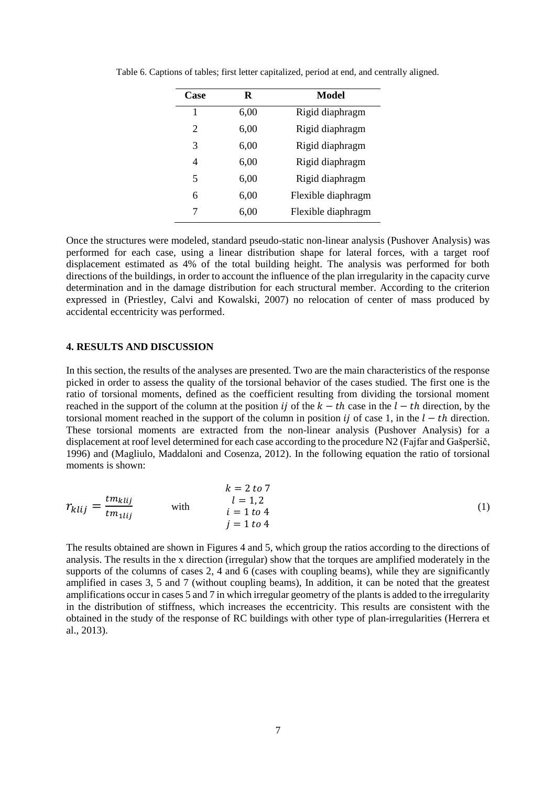| Case | R    | <b>Model</b>       |
|------|------|--------------------|
| 1    | 6,00 | Rigid diaphragm    |
| 2    | 6,00 | Rigid diaphragm    |
| 3    | 6,00 | Rigid diaphragm    |
| 4    | 6,00 | Rigid diaphragm    |
| 5    | 6,00 | Rigid diaphragm    |
| 6    | 6,00 | Flexible diaphragm |
| 7    | 6,00 | Flexible diaphragm |

Table 6. Captions of tables; first letter capitalized, period at end, and centrally aligned.

Once the structures were modeled, standard pseudo-static non-linear analysis (Pushover Analysis) was performed for each case, using a linear distribution shape for lateral forces, with a target roof displacement estimated as 4% of the total building height. The analysis was performed for both directions of the buildings, in order to account the influence of the plan irregularity in the capacity curve determination and in the damage distribution for each structural member. According to the criterion expressed in (Priestley, Calvi and Kowalski, 2007) no relocation of center of mass produced by accidental eccentricity was performed.

#### **4. RESULTS AND DISCUSSION**

In this section, the results of the analyses are presented. Two are the main characteristics of the response picked in order to assess the quality of the torsional behavior of the cases studied. The first one is the ratio of torsional moments, defined as the coefficient resulting from dividing the torsional moment reached in the support of the column at the position *ij* of the  $k - th$  case in the  $l - th$  direction, by the torsional moment reached in the support of the column in position  $i j$  of case 1, in the  $l - th$  direction. These torsional moments are extracted from the non-linear analysis (Pushover Analysis) for a displacement at roof level determined for each case according to the procedure N2 (Fajfar and Gašperšič, 1996) and (Magliulo, Maddaloni and Cosenza, 2012). In the following equation the ratio of torsional moments is shown:

$$
r_{klij} = \frac{tm_{klij}}{tm_{1lij}}
$$
 with 
$$
k = 2 \text{ to } 7
$$

$$
l = 1, 2
$$

$$
i = 1 \text{ to } 4
$$

$$
j = 1 \text{ to } 4
$$
 (1)

The results obtained are shown in Figures 4 and 5, which group the ratios according to the directions of analysis. The results in the x direction (irregular) show that the torques are amplified moderately in the supports of the columns of cases 2, 4 and 6 (cases with coupling beams), while they are significantly amplified in cases 3, 5 and 7 (without coupling beams), In addition, it can be noted that the greatest amplifications occur in cases 5 and 7 in which irregular geometry of the plants is added to the irregularity in the distribution of stiffness, which increases the eccentricity. This results are consistent with the obtained in the study of the response of RC buildings with other type of plan-irregularities (Herrera et al., 2013).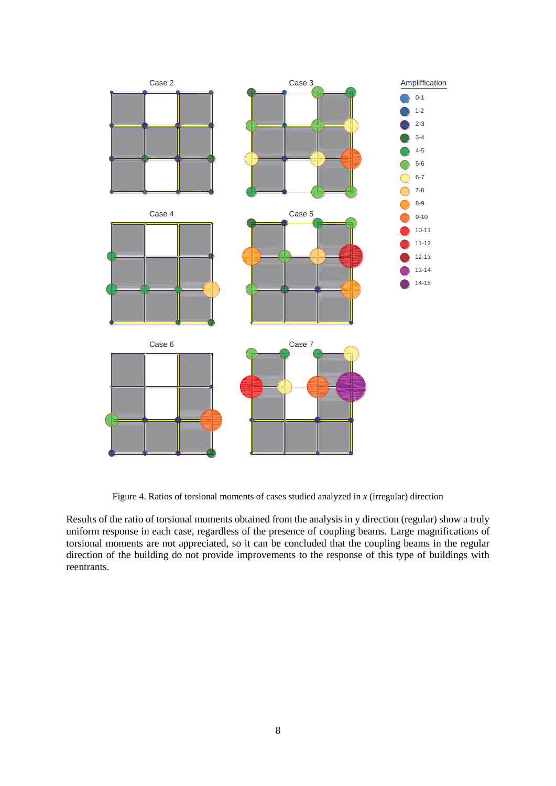

Figure 4. Ratios of torsional moments of cases studied analyzed in *x* (irregular) direction

Results of the ratio of torsional moments obtained from the analysis in y direction (regular) show a truly uniform response in each case, regardless of the presence of coupling beams. Large magnifications of torsional moments are not appreciated, so it can be concluded that the coupling beams in the regular direction of the building do not provide improvements to the response of this type of buildings with reentrants.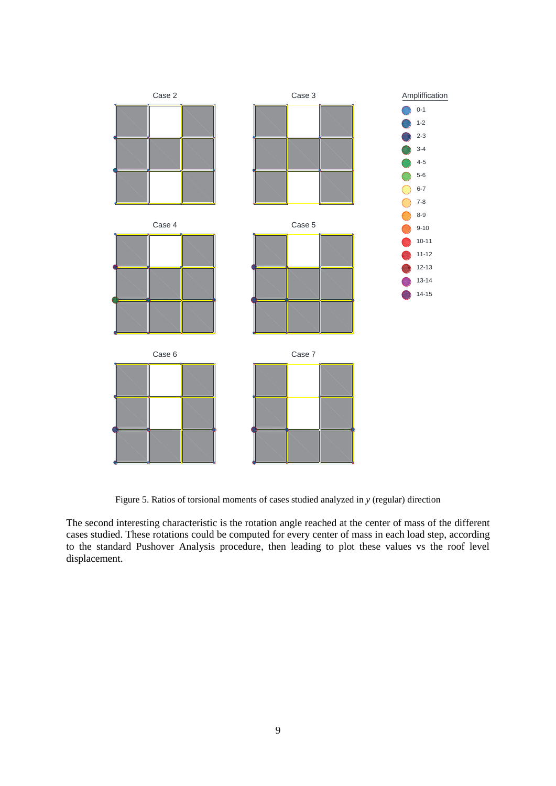

Figure 5. Ratios of torsional moments of cases studied analyzed in *y* (regular) direction

The second interesting characteristic is the rotation angle reached at the center of mass of the different cases studied. These rotations could be computed for every center of mass in each load step, according to the standard Pushover Analysis procedure, then leading to plot these values vs the roof level displacement.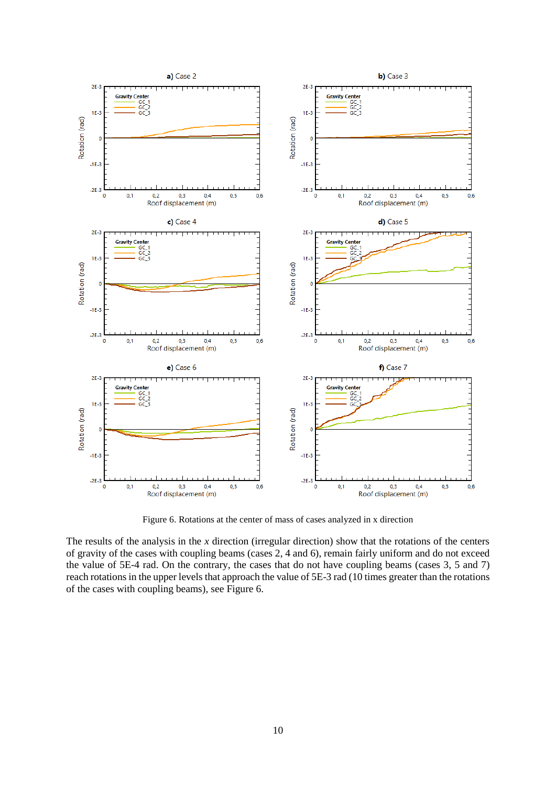

Figure 6. Rotations at the center of mass of cases analyzed in x direction

The results of the analysis in the *x* direction (irregular direction) show that the rotations of the centers of gravity of the cases with coupling beams (cases 2, 4 and 6), remain fairly uniform and do not exceed the value of 5E-4 rad. On the contrary, the cases that do not have coupling beams (cases 3, 5 and 7) reach rotations in the upper levels that approach the value of 5E-3 rad (10 times greater than the rotations of the cases with coupling beams), see Figure 6.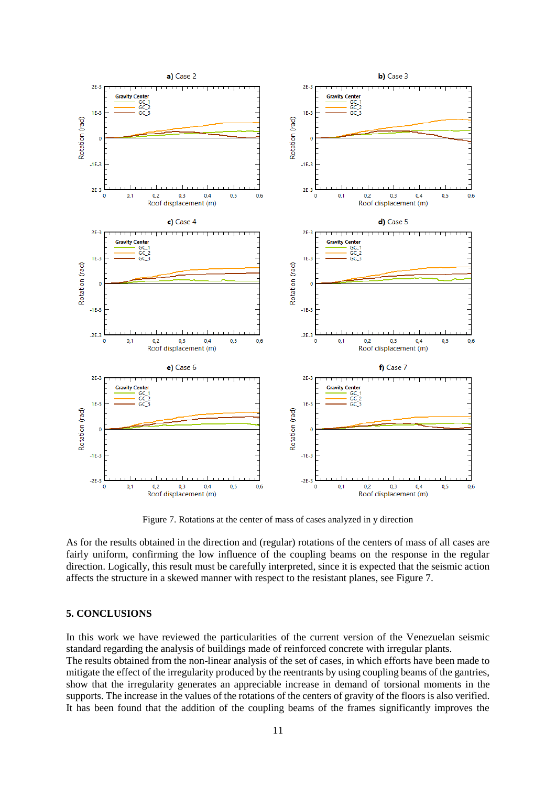

Figure 7. Rotations at the center of mass of cases analyzed in y direction

As for the results obtained in the direction and (regular) rotations of the centers of mass of all cases are fairly uniform, confirming the low influence of the coupling beams on the response in the regular direction. Logically, this result must be carefully interpreted, since it is expected that the seismic action affects the structure in a skewed manner with respect to the resistant planes, see Figure 7.

# **5. CONCLUSIONS**

In this work we have reviewed the particularities of the current version of the Venezuelan seismic standard regarding the analysis of buildings made of reinforced concrete with irregular plants.

The results obtained from the non-linear analysis of the set of cases, in which efforts have been made to mitigate the effect of the irregularity produced by the reentrants by using coupling beams of the gantries, show that the irregularity generates an appreciable increase in demand of torsional moments in the supports. The increase in the values of the rotations of the centers of gravity of the floors is also verified. It has been found that the addition of the coupling beams of the frames significantly improves the